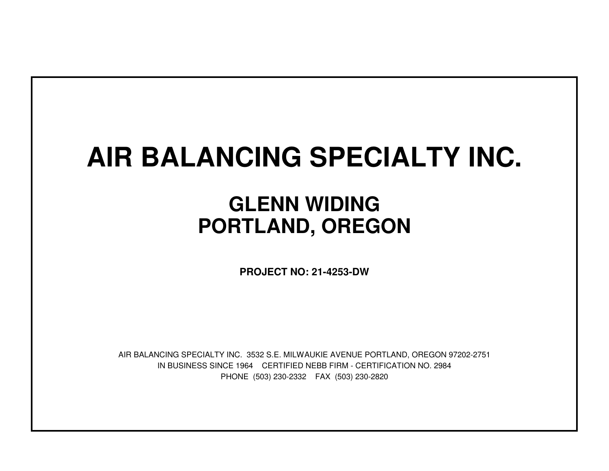## **AIR BALANCING SPECIALTY INC.**

## **GLENN WIDINGPORTLAND, OREGON**

**PROJECT NO: 21-4253-DW**

IN BUSINESS SINCE 1964 CERTIFIED NEBB FIRM - CERTIFICATION NO. 2984PHONE (503) 230-2332 FAX (503) 230-2820AIR BALANCING SPECIALTY INC. 3532 S.E. MILWAUKIE AVENUE PORTLAND, OREGON 97202-2751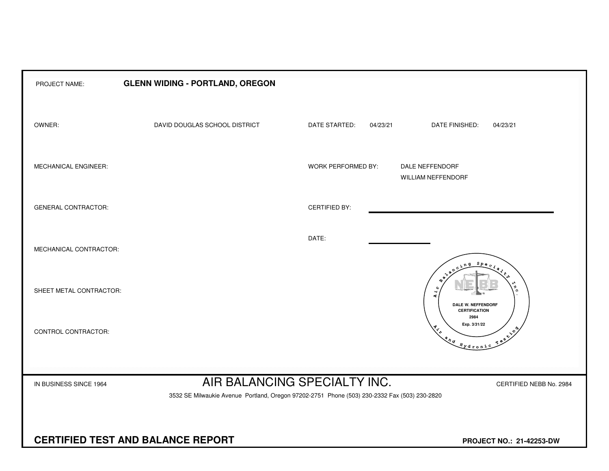| PROJECT NAME:              | <b>GLENN WIDING - PORTLAND, OREGON</b>                                                       |                              |                                                                                                                                                                                                                                                                                                                                                                                                                |  |  |  |  |  |  |  |  |  |
|----------------------------|----------------------------------------------------------------------------------------------|------------------------------|----------------------------------------------------------------------------------------------------------------------------------------------------------------------------------------------------------------------------------------------------------------------------------------------------------------------------------------------------------------------------------------------------------------|--|--|--|--|--|--|--|--|--|
| OWNER:                     | DAVID DOUGLAS SCHOOL DISTRICT                                                                | DATE STARTED:<br>04/23/21    | DATE FINISHED:<br>04/23/21                                                                                                                                                                                                                                                                                                                                                                                     |  |  |  |  |  |  |  |  |  |
| MECHANICAL ENGINEER:       |                                                                                              | WORK PERFORMED BY:           | DALE NEFFENDORF<br><b>WILLIAM NEFFENDORF</b>                                                                                                                                                                                                                                                                                                                                                                   |  |  |  |  |  |  |  |  |  |
| <b>GENERAL CONTRACTOR:</b> |                                                                                              | <b>CERTIFIED BY:</b>         |                                                                                                                                                                                                                                                                                                                                                                                                                |  |  |  |  |  |  |  |  |  |
| MECHANICAL CONTRACTOR:     |                                                                                              | DATE:                        |                                                                                                                                                                                                                                                                                                                                                                                                                |  |  |  |  |  |  |  |  |  |
| SHEET METAL CONTRACTOR:    |                                                                                              |                              | $S_{PQ}$<br>$\Omega$<br>$\overline{\mathcal{A}}$<br>Æ.<br><b>DALE W. NEFFENDORF</b><br><b>CERTIFICATION</b>                                                                                                                                                                                                                                                                                                    |  |  |  |  |  |  |  |  |  |
| CONTROL CONTRACTOR:        |                                                                                              |                              | 2984<br>Exp. 3/31/22<br>Testing<br>$\begin{picture}(180,10) \put(0,0){\vector(1,0){10}} \put(15,0){\vector(1,0){10}} \put(15,0){\vector(1,0){10}} \put(15,0){\vector(1,0){10}} \put(15,0){\vector(1,0){10}} \put(15,0){\vector(1,0){10}} \put(15,0){\vector(1,0){10}} \put(15,0){\vector(1,0){10}} \put(15,0){\vector(1,0){10}} \put(15,0){\vector(1,0){10}} \put(15,0){\vector(1,0){10}} \put(15,0){\vector($ |  |  |  |  |  |  |  |  |  |
| IN BUSINESS SINCE 1964     |                                                                                              | AIR BALANCING SPECIALTY INC. | CERTIFIED NEBB No. 2984                                                                                                                                                                                                                                                                                                                                                                                        |  |  |  |  |  |  |  |  |  |
|                            | 3532 SE Milwaukie Avenue Portland, Oregon 97202-2751 Phone (503) 230-2332 Fax (503) 230-2820 |                              |                                                                                                                                                                                                                                                                                                                                                                                                                |  |  |  |  |  |  |  |  |  |
|                            | <b>CERTIFIED TEST AND BALANCE REPORT</b>                                                     | PROJECT NO.: 21-42253-DW     |                                                                                                                                                                                                                                                                                                                                                                                                                |  |  |  |  |  |  |  |  |  |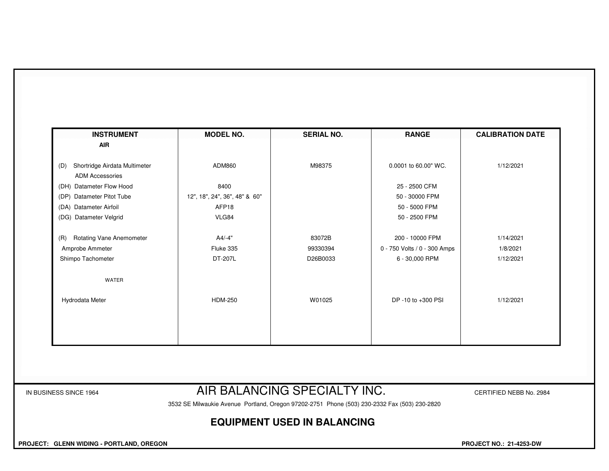| <b>INSTRUMENT</b><br><b>AIR</b>                                | <b>MODEL NO.</b>              | <b>SERIAL NO.</b>            | <b>RANGE</b>                 | <b>CALIBRATION DATE</b> |
|----------------------------------------------------------------|-------------------------------|------------------------------|------------------------------|-------------------------|
|                                                                |                               |                              |                              |                         |
| Shortridge Airdata Multimeter<br>(D)<br><b>ADM Accessories</b> | ADM860                        | M98375                       | 0.0001 to 60.00" WC.         | 1/12/2021               |
| (DH) Datameter Flow Hood                                       | 8400                          |                              | 25 - 2500 CFM                |                         |
| (DP) Datameter Pitot Tube                                      | 12", 18", 24", 36", 48" & 60" |                              | 50 - 30000 FPM               |                         |
| (DA) Datameter Airfoil                                         | AFP18                         |                              | 50 - 5000 FPM                |                         |
| (DG) Datameter Velgrid                                         | VLG84                         |                              | 50 - 2500 FPM                |                         |
| <b>Rotating Vane Anemometer</b><br>(R)                         | $A4/-4"$                      | 83072B                       | 200 - 10000 FPM              | 1/14/2021               |
| Amprobe Ammeter                                                | Fluke 335                     | 99330394                     | 0 - 750 Volts / 0 - 300 Amps | 1/8/2021                |
| Shimpo Tachometer                                              | DT-207L                       | D26B0033                     | 6 - 30,000 RPM               | 1/12/2021               |
| WATER                                                          |                               |                              |                              |                         |
| Hydrodata Meter                                                | <b>HDM-250</b>                | W01025                       | DP -10 to +300 PSI           | 1/12/2021               |
|                                                                |                               |                              |                              |                         |
|                                                                |                               |                              |                              |                         |
|                                                                |                               |                              |                              |                         |
|                                                                |                               |                              |                              |                         |
| IN BUSINESS SINCE 1964                                         |                               | AIR BALANCING SPECIALTY INC. |                              | CERTIFIED NEBB No. 2984 |

3532 SE Milwaukie Avenue Portland, Oregon 97202-2751 Phone (503) 230-2332 Fax (503) 230-2820

## **EQUIPMENT USED IN BALANCING**

 **PROJECT: GLENN WIDING - PORTLAND, OREGON PROJECT NO.: 21-4253-DW**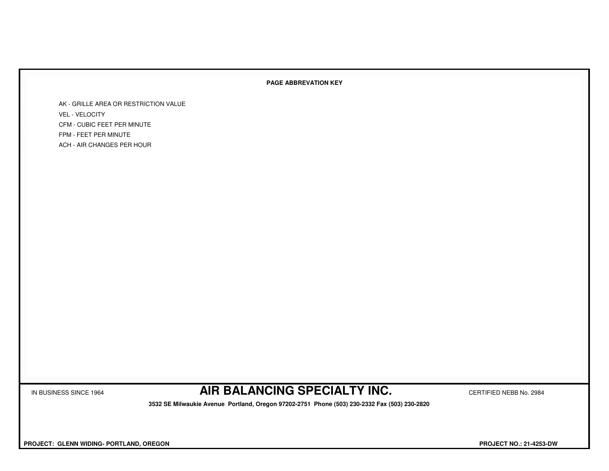## **PAGE ABBREVATION KEY**

AK - GRILLE AREA OR RESTRICTION VALUEVEL - VELOCITY CFM - CUBIC FEET PER MINUTEFPM - FEET PER MINUTEACH - AIR CHANGES PER HOUR

IN BUSINESS SINCE 1964 **AIR BALANCING SPECIALTY INC.** CERTIFIED NEBB No. 2984

 **3532 SE Milwaukie Avenue Portland, Oregon 97202-2751 Phone (503) 230-2332 Fax (503) 230-2820**